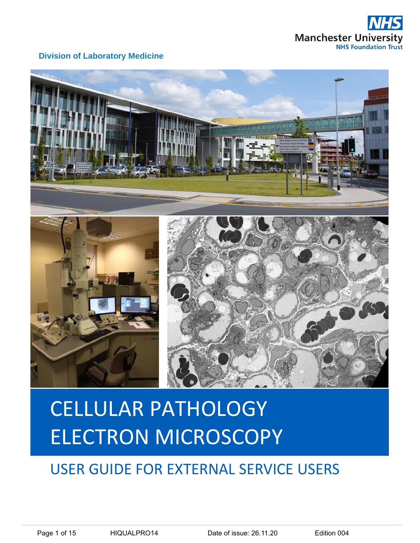





# USER GUIDE FOR EXTERNAL SERVICE USERS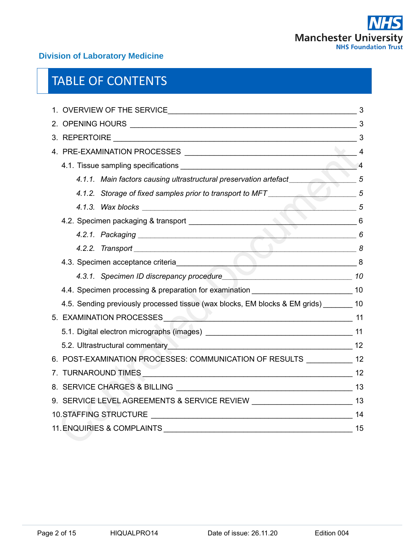

# TABLE OF CONTENTS

| $\sim$ 5                                                                                |  |  |  |  |
|-----------------------------------------------------------------------------------------|--|--|--|--|
|                                                                                         |  |  |  |  |
| 4.2.1. Packaging 6                                                                      |  |  |  |  |
|                                                                                         |  |  |  |  |
|                                                                                         |  |  |  |  |
| 4.3.1. Specimen ID discrepancy procedure<br>10                                          |  |  |  |  |
| 4.4. Specimen processing & preparation for examination __________________________ 10    |  |  |  |  |
| 4.5. Sending previously processed tissue (wax blocks, EM blocks & EM grids) ________ 10 |  |  |  |  |
| 5. EXAMINATION PROCESSES 11                                                             |  |  |  |  |
|                                                                                         |  |  |  |  |
| 5.2. Ultrastructural commentary 2000 2000 2000 2000 2000 212                            |  |  |  |  |
| 6. POST-EXAMINATION PROCESSES: COMMUNICATION OF RESULTS ___________ 12                  |  |  |  |  |
|                                                                                         |  |  |  |  |
|                                                                                         |  |  |  |  |
| 9. SERVICE LEVEL AGREEMENTS & SERVICE REVIEW ___________________________________13      |  |  |  |  |
|                                                                                         |  |  |  |  |
|                                                                                         |  |  |  |  |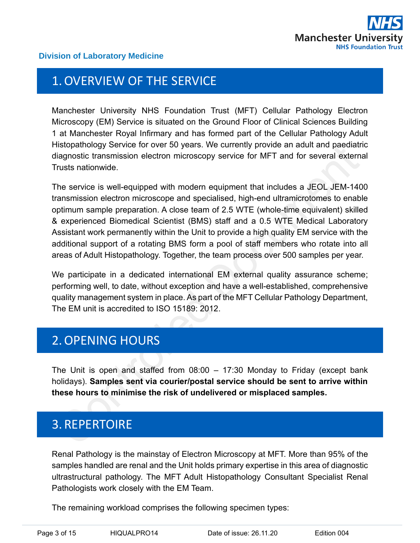

## <span id="page-2-0"></span>1.OVERVIEW OF THE SERVICE

Manchester University NHS Foundation Trust (MFT) Cellular Pathology Electron Microscopy (EM) Service is situated on the Ground Floor of Clinical Sciences Building 1 at Manchester Royal Infirmary and has formed part of the Cellular Pathology Adult Histopathology Service for over 50 years. We currently provide an adult and paediatric diagnostic transmission electron microscopy service for MFT and for several external Trusts nationwide.

The service is well-equipped with modern equipment that includes a JEOL JEM-1400 transmission electron microscope and specialised, high-end ultramicrotomes to enable optimum sample preparation. A close team of 2.5 WTE (whole-time equivalent) skilled & experienced Biomedical Scientist (BMS) staff and a 0.5 WTE Medical Laboratory Assistant work permanently within the Unit to provide a high quality EM service with the additional support of a rotating BMS form a pool of staff members who rotate into all areas of Adult Histopathology. Together, the team process over 500 samples per year.

We participate in a dedicated international EM external quality assurance scheme; performing well, to date, without exception and have a well-established, comprehensive quality management system in place. As part of the MFT Cellular Pathology Department, The EM unit is accredited to ISO 15189: 2012.

# <span id="page-2-1"></span>2.OPENING HOURS

The Unit is open and staffed from 08:00 – 17:30 Monday to Friday (except bank holidays). **Samples sent via courier/postal service should be sent to arrive within these hours to minimise the risk of undelivered or misplaced samples.**

# <span id="page-2-2"></span>3. REPERTOIRE

Renal Pathology is the mainstay of Electron Microscopy at MFT. More than 95% of the samples handled are renal and the Unit holds primary expertise in this area of diagnostic ultrastructural pathology. The MFT Adult Histopathology Consultant Specialist Renal Pathologists work closely with the EM Team.

The remaining workload comprises the following specimen types: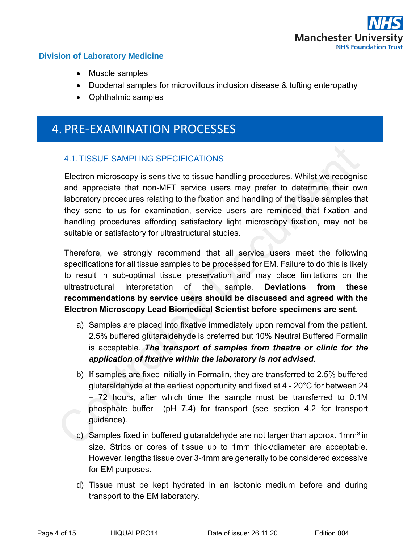

- Muscle samples
- Duodenal samples for microvillous inclusion disease & tufting enteropathy
- Ophthalmic samples

## <span id="page-3-0"></span>4. PRE-EXAMINATION PROCESSES

### <span id="page-3-1"></span>4.1.TISSUE SAMPLING SPECIFICATIONS

Electron microscopy is sensitive to tissue handling procedures. Whilst we recognise and appreciate that non-MFT service users may prefer to determine their own laboratory procedures relating to the fixation and handling of the tissue samples that they send to us for examination, service users are reminded that fixation and handling procedures affording satisfactory light microscopy fixation, may not be suitable or satisfactory for ultrastructural studies.

Therefore, we strongly recommend that all service users meet the following specifications for all tissue samples to be processed for EM. Failure to do this is likely to result in sub-optimal tissue preservation and may place limitations on the ultrastructural interpretation of the sample. **Deviations from these recommendations by service users should be discussed and agreed with the Electron Microscopy Lead Biomedical Scientist before specimens are sent.**

- a) Samples are placed into fixative immediately upon removal from the patient. 2.5% buffered glutaraldehyde is preferred but 10% Neutral Buffered Formalin is acceptable. *The transport of samples from theatre or clinic for the application of fixative within the laboratory is not advised.*
- b) If samples are fixed initially in Formalin, they are transferred to 2.5% buffered glutaraldehyde at the earliest opportunity and fixed at 4 - 20°C for between 24 – 72 hours, after which time the sample must be transferred to 0.1M phosphate buffer (pH 7.4) for transport (see section 4.2 for transport guidance).
- c) Samples fixed in buffered glutaraldehyde are not larger than approx. 1mm<sup>3</sup> in size. Strips or cores of tissue up to 1mm thick/diameter are acceptable. However, lengths tissue over 3-4mm are generally to be considered excessive for EM purposes.
- d) Tissue must be kept hydrated in an isotonic medium before and during transport to the EM laboratory.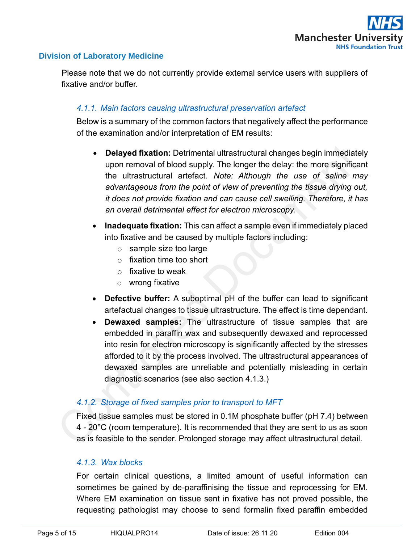

Please note that we do not currently provide external service users with suppliers of fixative and/or buffer.

#### <span id="page-4-0"></span>*4.1.1. Main factors causing ultrastructural preservation artefact*

Below is a summary of the common factors that negatively affect the performance of the examination and/or interpretation of EM results:

- **Delayed fixation:** Detrimental ultrastructural changes begin immediately upon removal of blood supply. The longer the delay: the more significant the ultrastructural artefact. *Note: Although the use of saline may advantageous from the point of view of preventing the tissue drying out, it does not provide fixation and can cause cell swelling. Therefore, it has an overall detrimental effect for electron microscopy.*
- **Inadequate fixation:** This can affect a sample even if immediately placed into fixative and be caused by multiple factors including:
	- o sample size too large
	- o fixation time too short
	- $\circ$  fixative to weak
	- o wrong fixative
- **Defective buffer:** A suboptimal pH of the buffer can lead to significant artefactual changes to tissue ultrastructure. The effect is time dependant.
- **Dewaxed samples:** The ultrastructure of tissue samples that are embedded in paraffin wax and subsequently dewaxed and reprocessed into resin for electron microscopy is significantly affected by the stresses afforded to it by the process involved. The ultrastructural appearances of dewaxed samples are unreliable and potentially misleading in certain diagnostic scenarios (see also section 4.1.3.)

### <span id="page-4-1"></span>*4.1.2. Storage of fixed samples prior to transport to MFT*

Fixed tissue samples must be stored in 0.1M phosphate buffer (pH 7.4) between 4 - 20°C (room temperature). It is recommended that they are sent to us as soon as is feasible to the sender. Prolonged storage may affect ultrastructural detail.

#### <span id="page-4-2"></span>*4.1.3. Wax blocks*

For certain clinical questions, a limited amount of useful information can sometimes be gained by de-paraffinising the tissue and reprocessing for EM. Where EM examination on tissue sent in fixative has not proved possible, the requesting pathologist may choose to send formalin fixed paraffin embedded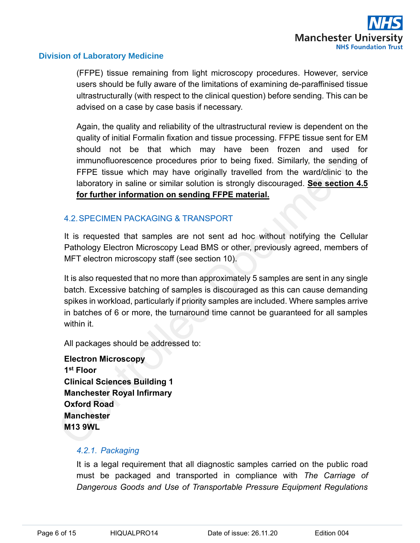

(FFPE) tissue remaining from light microscopy procedures. However, service users should be fully aware of the limitations of examining de-paraffinised tissue ultrastructurally (with respect to the clinical question) before sending. This can be advised on a case by case basis if necessary.

Again, the quality and reliability of the ultrastructural review is dependent on the quality of initial Formalin fixation and tissue processing. FFPE tissue sent for EM should not be that which may have been frozen and used for immunofluorescence procedures prior to being fixed. Similarly, the sending of FFPE tissue which may have originally travelled from the ward/clinic to the laboratory in saline or similar solution is strongly discouraged. **See section 4.5 for further information on sending FFPE material.**

#### <span id="page-5-0"></span>4.2.SPECIMEN PACKAGING & TRANSPORT

It is requested that samples are not sent ad hoc without notifying the Cellular Pathology Electron Microscopy Lead BMS or other, previously agreed, members of MFT electron microscopy staff (see section 10).

It is also requested that no more than approximately 5 samples are sent in any single batch. Excessive batching of samples is discouraged as this can cause demanding spikes in workload, particularly if priority samples are included. Where samples arrive in batches of 6 or more, the turnaround time cannot be guaranteed for all samples within it.

All packages should be addressed to:

**Electron Microscopy 1 st Floor Clinical Sciences Building 1 Manchester Royal Infirmary Oxford Road Manchester M13 9WL**

#### <span id="page-5-1"></span>*4.2.1. Packaging*

It is a legal requirement that all diagnostic samples carried on the public road must be packaged and transported in compliance with *The Carriage of Dangerous Goods and Use of Transportable Pressure Equipment Regulations*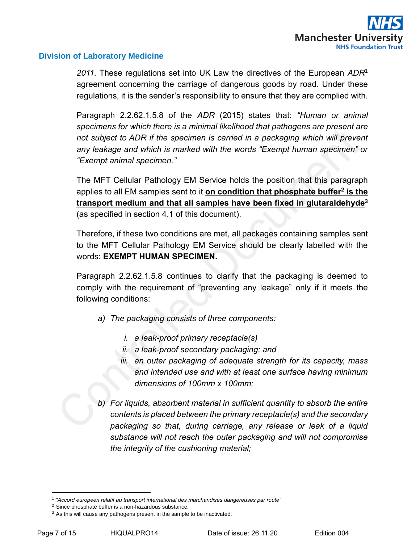

*2011.* These regulations set into UK Law the directives of the European *ADR*<sup>1</sup> agreement concerning the carriage of dangerous goods by road. Under these regulations, it is the sender's responsibility to ensure that they are complied with.

Paragraph 2.2.62.1.5.8 of the *ADR* (2015) states that: *"Human or animal specimens for which there is a minimal likelihood that pathogens are present are*  not subject to ADR if the specimen is carried in a packaging which will prevent *any leakage and which is marked with the words "Exempt human specimen" or "Exempt animal specimen."*

The MFT Cellular Pathology EM Service holds the position that this paragraph applies to all EM samples sent to it **on condition that phosphate buffer<sup>2</sup> is the transport medium and that all samples have been fixed in glutaraldehyde<sup>3</sup>** (as specified in section 4.1 of this document).

Therefore, if these two conditions are met, all packages containing samples sent to the MFT Cellular Pathology EM Service should be clearly labelled with the words: **EXEMPT HUMAN SPECIMEN.**

Paragraph 2.2.62.1.5.8 continues to clarify that the packaging is deemed to comply with the requirement of "preventing any leakage" only if it meets the following conditions:

- *a) The packaging consists of three components:*
	- *i. a leak-proof primary receptacle(s)*
	- *ii. a leak-proof secondary packaging; and*
	- *iii. an outer packaging of adequate strength for its capacity, mass and intended use and with at least one surface having minimum dimensions of 100mm x 100mm;*
- *b) For liquids, absorbent material in sufficient quantity to absorb the entire contents is placed between the primary receptacle(s) and the secondary packaging so that, during carriage, any release or leak of a liquid substance will not reach the outer packaging and will not compromise the integrity of the cushioning material;*

<sup>1</sup> *"Accord européen relatif au transport international des marchandises dangereuses par route"*

<sup>&</sup>lt;sup>2</sup> Since phosphate buffer is a non-hazardous substance.

 $3$  As this will cause any pathogens present in the sample to be inactivated.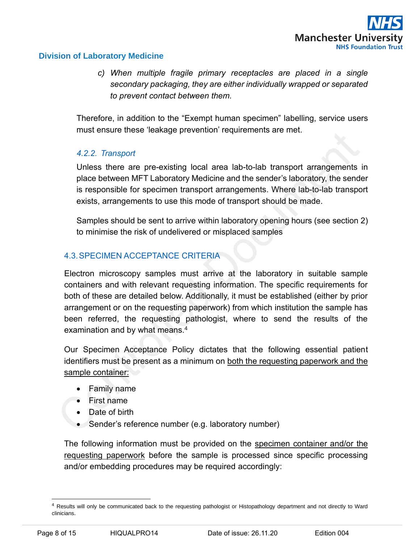*c) When multiple fragile primary receptacles are placed in a single secondary packaging, they are either individually wrapped or separated to prevent contact between them.*

Therefore, in addition to the "Exempt human specimen" labelling, service users must ensure these 'leakage prevention' requirements are met.

### <span id="page-7-0"></span>*4.2.2. Transport*

Unless there are pre-existing local area lab-to-lab transport arrangements in place between MFT Laboratory Medicine and the sender's laboratory, the sender is responsible for specimen transport arrangements. Where lab-to-lab transport exists, arrangements to use this mode of transport should be made.

Samples should be sent to arrive within laboratory opening hours (see section 2) to minimise the risk of undelivered or misplaced samples

### <span id="page-7-1"></span>4.3.SPECIMEN ACCEPTANCE CRITERIA

Electron microscopy samples must arrive at the laboratory in suitable sample containers and with relevant requesting information. The specific requirements for both of these are detailed below. Additionally, it must be established (either by prior arrangement or on the requesting paperwork) from which institution the sample has been referred, the requesting pathologist, where to send the results of the examination and by what means.<sup>4</sup>

Our Specimen Acceptance Policy dictates that the following essential patient identifiers must be present as a minimum on both the requesting paperwork and the sample container:

- Family name
- First name
- Date of birth
- Sender's reference number (e.g. laboratory number)

The following information must be provided on the specimen container and/or the requesting paperwork before the sample is processed since specific processing and/or embedding procedures may be required accordingly:

<sup>4</sup> Results will only be communicated back to the requesting pathologist or Histopathology department and not directly to Ward clinicians.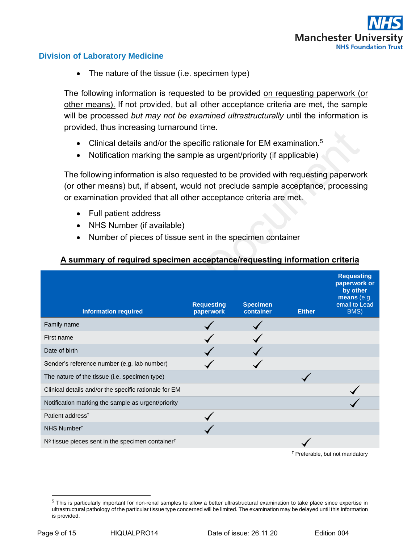

• The nature of the tissue (i.e. specimen type)

The following information is requested to be provided on requesting paperwork (or other means). If not provided, but all other acceptance criteria are met, the sample will be processed *but may not be examined ultrastructurally* until the information is provided, thus increasing turnaround time.

- Clinical details and/or the specific rationale for EM examination.<sup>5</sup>
- Notification marking the sample as urgent/priority (if applicable)

The following information is also requested to be provided with requesting paperwork (or other means) but, if absent, would not preclude sample acceptance, processing or examination provided that all other acceptance criteria are met.

- Full patient address
- NHS Number (if available)
- Number of pieces of tissue sent in the specimen container

#### **A summary of required specimen acceptance/requesting information criteria**

| <b>Information required</b>                                    | <b>Requesting</b><br>paperwork | <b>Specimen</b><br>container | <b>Either</b> | <b>Requesting</b><br>paperwork or<br>by other<br>means (e.g.<br>email to Lead<br>BMS) |
|----------------------------------------------------------------|--------------------------------|------------------------------|---------------|---------------------------------------------------------------------------------------|
| Family name                                                    |                                |                              |               |                                                                                       |
| First name                                                     |                                |                              |               |                                                                                       |
| Date of birth                                                  |                                |                              |               |                                                                                       |
| Sender's reference number (e.g. lab number)                    |                                |                              |               |                                                                                       |
| The nature of the tissue (i.e. specimen type)                  |                                |                              |               |                                                                                       |
| Clinical details and/or the specific rationale for EM          |                                |                              |               |                                                                                       |
| Notification marking the sample as urgent/priority             |                                |                              |               |                                                                                       |
| Patient address <sup>t</sup>                                   |                                |                              |               |                                                                                       |
| NHS Number <sup>†</sup>                                        |                                |                              |               |                                                                                       |
| $No$ tissue pieces sent in the specimen container <sup>†</sup> |                                |                              |               |                                                                                       |
|                                                                |                                |                              |               | the contract of the contract of the                                                   |

**†** Preferable, but not mandatory

<sup>&</sup>lt;sup>5</sup> This is particularly important for non-renal samples to allow a better ultrastructural examination to take place since expertise in ultrastructural pathology of the particular tissue type concerned will be limited. The examination may be delayed until this information is provided.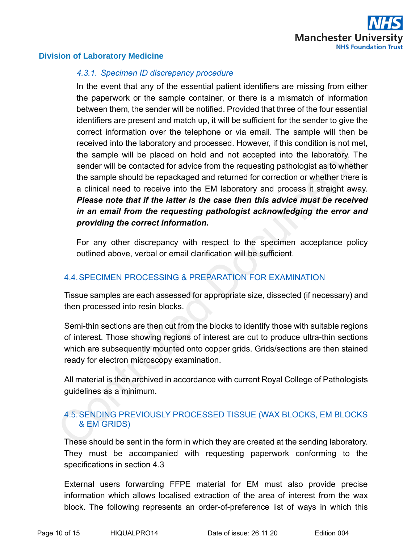

#### <span id="page-9-0"></span>*4.3.1. Specimen ID discrepancy procedure*

In the event that any of the essential patient identifiers are missing from either the paperwork or the sample container, or there is a mismatch of information between them, the sender will be notified. Provided that three of the four essential identifiers are present and match up, it will be sufficient for the sender to give the correct information over the telephone or via email. The sample will then be received into the laboratory and processed. However, if this condition is not met, the sample will be placed on hold and not accepted into the laboratory. The sender will be contacted for advice from the requesting pathologist as to whether the sample should be repackaged and returned for correction or whether there is a clinical need to receive into the EM laboratory and process it straight away. *Please note that if the latter is the case then this advice must be received in an email from the requesting pathologist acknowledging the error and providing the correct information.*

For any other discrepancy with respect to the specimen acceptance policy outlined above, verbal or email clarification will be sufficient.

### <span id="page-9-1"></span>4.4.SPECIMEN PROCESSING & PREPARATION FOR EXAMINATION

Tissue samples are each assessed for appropriate size, dissected (if necessary) and then processed into resin blocks.

Semi-thin sections are then cut from the blocks to identify those with suitable regions of interest. Those showing regions of interest are cut to produce ultra-thin sections which are subsequently mounted onto copper grids. Grids/sections are then stained ready for electron microscopy examination.

All material is then archived in accordance with current Royal College of Pathologists guidelines as a minimum.

### <span id="page-9-2"></span>4.5.SENDING PREVIOUSLY PROCESSED TISSUE (WAX BLOCKS, EM BLOCKS & EM GRIDS)

These should be sent in the form in which they are created at the sending laboratory. They must be accompanied with requesting paperwork conforming to the specifications in section 4.3

External users forwarding FFPE material for EM must also provide precise information which allows localised extraction of the area of interest from the wax block. The following represents an order-of-preference list of ways in which this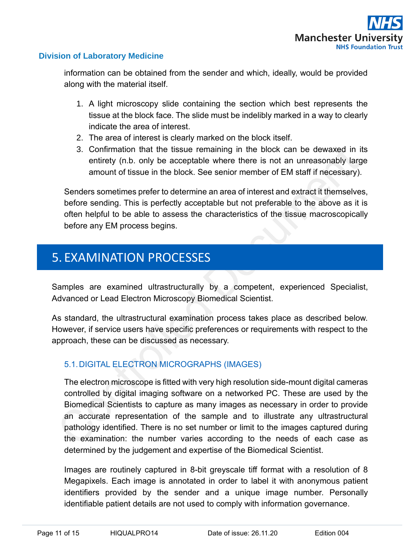

information can be obtained from the sender and which, ideally, would be provided along with the material itself.

- 1. A light microscopy slide containing the section which best represents the tissue at the block face. The slide must be indelibly marked in a way to clearly indicate the area of interest.
- 2. The area of interest is clearly marked on the block itself.
- 3. Confirmation that the tissue remaining in the block can be dewaxed in its entirety (n.b. only be acceptable where there is not an unreasonably large amount of tissue in the block. See senior member of EM staff if necessary).

Senders sometimes prefer to determine an area of interest and extract it themselves, before sending. This is perfectly acceptable but not preferable to the above as it is often helpful to be able to assess the characteristics of the tissue macroscopically before any EM process begins.

# <span id="page-10-0"></span>5. EXAMINATION PROCESSES

Samples are examined ultrastructurally by a competent, experienced Specialist, Advanced or Lead Electron Microscopy Biomedical Scientist.

As standard, the ultrastructural examination process takes place as described below. However, if service users have specific preferences or requirements with respect to the approach, these can be discussed as necessary.

### <span id="page-10-1"></span>5.1.DIGITAL ELECTRON MICROGRAPHS (IMAGES)

The electron microscope is fitted with very high resolution side-mount digital cameras controlled by digital imaging software on a networked PC. These are used by the Biomedical Scientists to capture as many images as necessary in order to provide an accurate representation of the sample and to illustrate any ultrastructural pathology identified. There is no set number or limit to the images captured during the examination: the number varies according to the needs of each case as determined by the judgement and expertise of the Biomedical Scientist.

Images are routinely captured in 8-bit greyscale tiff format with a resolution of 8 Megapixels. Each image is annotated in order to label it with anonymous patient identifiers provided by the sender and a unique image number. Personally identifiable patient details are not used to comply with information governance.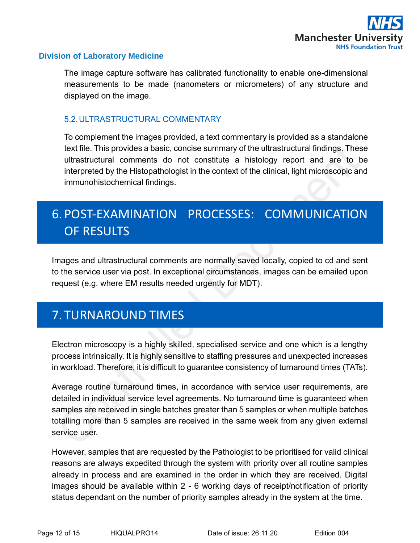

The image capture software has calibrated functionality to enable one-dimensional measurements to be made (nanometers or micrometers) of any structure and displayed on the image.

### <span id="page-11-0"></span>5.2.ULTRASTRUCTURAL COMMENTARY

To complement the images provided, a text commentary is provided as a standalone text file. This provides a basic, concise summary of the ultrastructural findings. These ultrastructural comments do not constitute a histology report and are to be interpreted by the Histopathologist in the context of the clinical, light microscopic and immunohistochemical findings.

# <span id="page-11-1"></span>6. POST-EXAMINATION PROCESSES: COMMUNICATION OF RESULTS

Images and ultrastructural comments are normally saved locally, copied to cd and sent to the service user via post. In exceptional circumstances, images can be emailed upon request (e.g. where EM results needed urgently for MDT).

# <span id="page-11-2"></span>7. TURNAROUND TIMES

Electron microscopy is a highly skilled, specialised service and one which is a lengthy process intrinsically. It is highly sensitive to staffing pressures and unexpected increases in workload. Therefore, it is difficult to guarantee consistency of turnaround times (TATs).

Average routine turnaround times, in accordance with service user requirements, are detailed in individual service level agreements. No turnaround time is guaranteed when samples are received in single batches greater than 5 samples or when multiple batches totalling more than 5 samples are received in the same week from any given external service user.

However, samples that are requested by the Pathologist to be prioritised for valid clinical reasons are always expedited through the system with priority over all routine samples already in process and are examined in the order in which they are received. Digital images should be available within 2 - 6 working days of receipt/notification of priority status dependant on the number of priority samples already in the system at the time.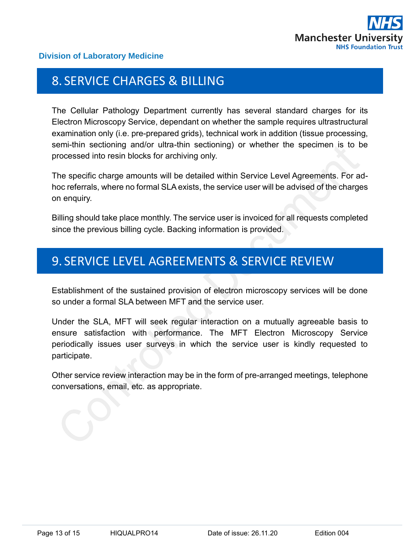

## <span id="page-12-0"></span>8. SERVICE CHARGES & BILLING

The Cellular Pathology Department currently has several standard charges for its Electron Microscopy Service, dependant on whether the sample requires ultrastructural examination only (i.e. pre-prepared grids), technical work in addition (tissue processing, semi-thin sectioning and/or ultra-thin sectioning) or whether the specimen is to be processed into resin blocks for archiving only.

The specific charge amounts will be detailed within Service Level Agreements. For adhoc referrals, where no formal SLA exists, the service user will be advised of the charges on enquiry.

Billing should take place monthly. The service user is invoiced for all requests completed since the previous billing cycle. Backing information is provided.

## <span id="page-12-1"></span>9. SERVICE LEVEL AGREEMENTS & SERVICE REVIEW

Establishment of the sustained provision of electron microscopy services will be done so under a formal SLA between MFT and the service user.

Under the SLA, MFT will seek regular interaction on a mutually agreeable basis to ensure satisfaction with performance. The MFT Electron Microscopy Service periodically issues user surveys in which the service user is kindly requested to participate.

Other service review interaction may be in the form of pre-arranged meetings, telephone conversations, email, etc. as appropriate.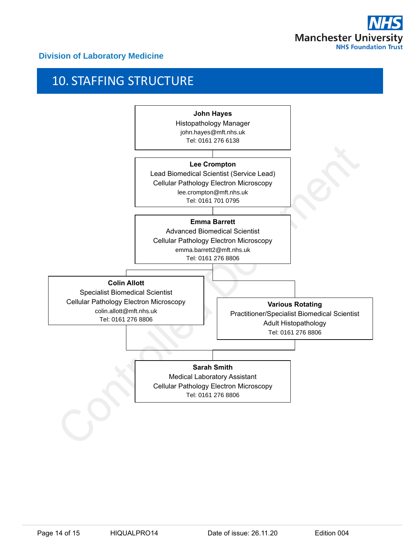

# <span id="page-13-0"></span>10. STAFFING STRUCTURE